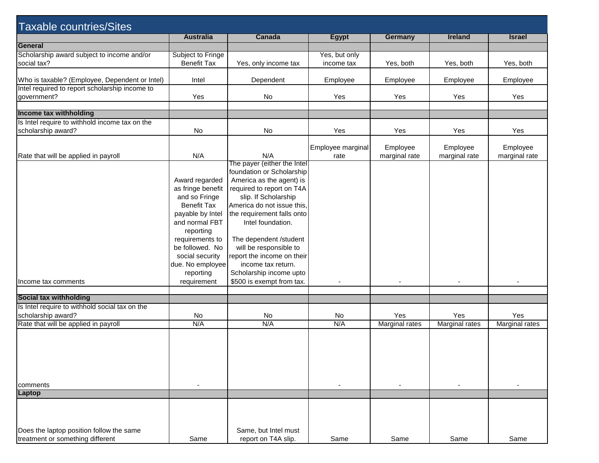| <b>Taxable countries/Sites</b>                 |                    |                             |                   |                |                |                |
|------------------------------------------------|--------------------|-----------------------------|-------------------|----------------|----------------|----------------|
|                                                | <b>Australia</b>   | Canada                      | <b>Egypt</b>      | <b>Germany</b> | <b>Ireland</b> | <b>Israel</b>  |
| General                                        |                    |                             |                   |                |                |                |
| Scholarship award subject to income and/or     | Subject to Fringe  |                             | Yes, but only     |                |                |                |
| social tax?                                    | <b>Benefit Tax</b> | Yes, only income tax        | income tax        | Yes, both      | Yes, both      | Yes, both      |
|                                                |                    |                             |                   |                |                |                |
| Who is taxable? (Employee, Dependent or Intel) | Intel              | Dependent                   | Employee          | Employee       | Employee       | Employee       |
| Intel required to report scholarship income to |                    |                             |                   |                |                |                |
| government?                                    | Yes                | No                          | Yes               | Yes            | Yes            | Yes            |
|                                                |                    |                             |                   |                |                |                |
| Income tax withholding                         |                    |                             |                   |                |                |                |
| Is Intel require to withhold income tax on the |                    |                             |                   |                |                |                |
| scholarship award?                             | No                 | No                          | Yes               | Yes            | Yes            | Yes            |
|                                                |                    |                             |                   |                |                |                |
|                                                |                    |                             | Employee marginal | Employee       | Employee       | Employee       |
| Rate that will be applied in payroll           | N/A                | N/A                         | rate              | marginal rate  | marginal rate  | marginal rate  |
|                                                |                    | The payer (either the Intel |                   |                |                |                |
|                                                |                    | foundation or Scholarship   |                   |                |                |                |
|                                                | Award regarded     | America as the agent) is    |                   |                |                |                |
|                                                | as fringe benefit  | required to report on T4A   |                   |                |                |                |
|                                                | and so Fringe      | slip. If Scholarship        |                   |                |                |                |
|                                                |                    |                             |                   |                |                |                |
|                                                | <b>Benefit Tax</b> | America do not issue this,  |                   |                |                |                |
|                                                | payable by Intel   | the requirement falls onto  |                   |                |                |                |
|                                                | and normal FBT     | Intel foundation.           |                   |                |                |                |
|                                                | reporting          |                             |                   |                |                |                |
|                                                | requirements to    | The dependent /student      |                   |                |                |                |
|                                                | be followed. No    | will be responsible to      |                   |                |                |                |
|                                                | social security    | report the income on their  |                   |                |                |                |
|                                                | due. No employee   | income tax return.          |                   |                |                |                |
|                                                | reporting          | Scholarship income upto     |                   |                |                |                |
| Income tax comments                            | requirement        | \$500 is exempt from tax.   |                   |                |                |                |
|                                                |                    |                             |                   |                |                |                |
| <b>Social tax withholding</b>                  |                    |                             |                   |                |                |                |
| Is Intel require to withhold social tax on the |                    |                             |                   |                |                |                |
| scholarship award?                             | No                 | No                          | No                | Yes            | Yes            | Yes            |
| Rate that will be applied in payroll           | N/A                | N/A                         | N/A               | Marginal rates | Marginal rates | Marginal rates |
|                                                |                    |                             |                   |                |                |                |
|                                                |                    |                             |                   |                |                |                |
|                                                |                    |                             |                   |                |                |                |
|                                                |                    |                             |                   |                |                |                |
|                                                |                    |                             |                   |                |                |                |
|                                                |                    |                             |                   |                |                |                |
|                                                |                    |                             |                   |                |                |                |
| comments                                       |                    |                             |                   |                | $\blacksquare$ |                |
| <b>Laptop</b>                                  |                    |                             |                   |                |                |                |
|                                                |                    |                             |                   |                |                |                |
|                                                |                    |                             |                   |                |                |                |
|                                                |                    |                             |                   |                |                |                |
|                                                |                    |                             |                   |                |                |                |
| Does the laptop position follow the same       |                    | Same, but Intel must        |                   |                |                |                |
| treatment or something different               | Same               | report on T4A slip.         | Same              | Same           | Same           | Same           |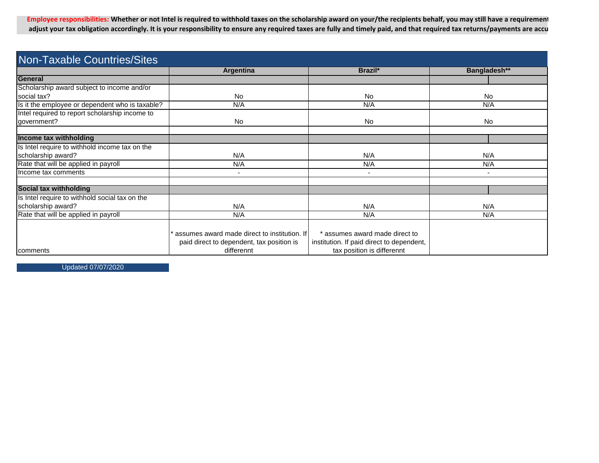Employee responsibilities: Whether or not Intel is required to withhold taxes on the scholarship award on your/the recipients behalf, you may still have a requirement adjust your tax obligation accordingly. It is your responsibility to ensure any required taxes are fully and timely paid, and that required tax returns/payments are accu

| <b>Non-Taxable Countries/Sites</b>              |                                              |                                           |                |  |
|-------------------------------------------------|----------------------------------------------|-------------------------------------------|----------------|--|
|                                                 | Brazil*<br>Argentina                         |                                           | Bangladesh**   |  |
| General                                         |                                              |                                           |                |  |
| Scholarship award subject to income and/or      |                                              |                                           |                |  |
| social tax?                                     | <b>No</b>                                    | <b>No</b>                                 | <b>No</b>      |  |
| Is it the employee or dependent who is taxable? | N/A                                          | N/A                                       | N/A            |  |
| Intel required to report scholarship income to  |                                              |                                           |                |  |
| government?                                     | <b>No</b>                                    | <b>No</b>                                 | <b>No</b>      |  |
|                                                 |                                              |                                           |                |  |
| Income tax withholding                          |                                              |                                           |                |  |
| Is Intel require to withhold income tax on the  |                                              |                                           |                |  |
| scholarship award?                              | N/A                                          | N/A                                       | N/A            |  |
| Rate that will be applied in payroll            | N/A                                          | N/A                                       | N/A            |  |
| Income tax comments                             | $\overline{\phantom{a}}$                     | $\blacksquare$                            | $\blacksquare$ |  |
|                                                 |                                              |                                           |                |  |
| Social tax withholding                          |                                              |                                           |                |  |
| Is Intel require to withhold social tax on the  |                                              |                                           |                |  |
| scholarship award?                              | N/A                                          | N/A                                       | N/A            |  |
| Rate that will be applied in payroll            | N/A                                          | N/A                                       | N/A            |  |
|                                                 |                                              |                                           |                |  |
|                                                 | assumes award made direct to institution. If | * assumes award made direct to            |                |  |
|                                                 | paid direct to dependent, tax position is    | institution. If paid direct to dependent, |                |  |
| comments                                        | differennt                                   | tax position is differennt                |                |  |

Updated 07/07/2020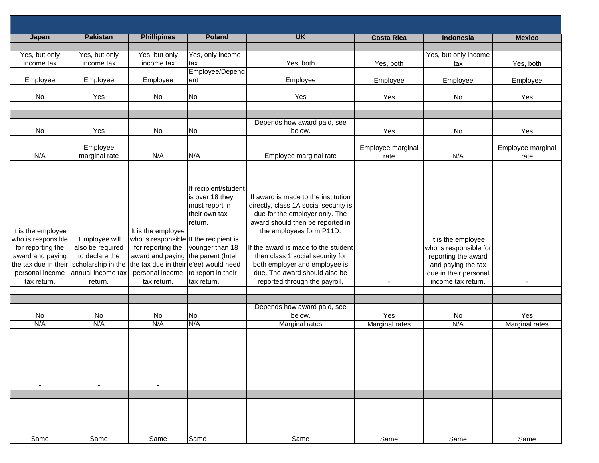| <b>Japan</b>                                                                                                                                | <b>Pakistan</b>                                                                                           | <b>Phillipines</b>                                                                                                                                                                                 | <b>Poland</b>                                                                                                                                 | <b>UK</b>                                                                                                                                                                                                                                                                                                                                                    | <b>Costa Rica</b>     | Indonesia                                                                                                                                | <b>Mexico</b>         |
|---------------------------------------------------------------------------------------------------------------------------------------------|-----------------------------------------------------------------------------------------------------------|----------------------------------------------------------------------------------------------------------------------------------------------------------------------------------------------------|-----------------------------------------------------------------------------------------------------------------------------------------------|--------------------------------------------------------------------------------------------------------------------------------------------------------------------------------------------------------------------------------------------------------------------------------------------------------------------------------------------------------------|-----------------------|------------------------------------------------------------------------------------------------------------------------------------------|-----------------------|
|                                                                                                                                             |                                                                                                           |                                                                                                                                                                                                    |                                                                                                                                               |                                                                                                                                                                                                                                                                                                                                                              |                       |                                                                                                                                          |                       |
| Yes, but only<br>income tax                                                                                                                 | Yes, but only<br>income tax                                                                               | Yes, but only<br>income tax                                                                                                                                                                        | Yes, only income<br>tax                                                                                                                       | Yes, both                                                                                                                                                                                                                                                                                                                                                    | Yes, both             | Yes, but only income<br>tax                                                                                                              | Yes, both             |
|                                                                                                                                             |                                                                                                           |                                                                                                                                                                                                    | Employee/Depend                                                                                                                               |                                                                                                                                                                                                                                                                                                                                                              |                       |                                                                                                                                          |                       |
| Employee                                                                                                                                    | Employee                                                                                                  | Employee                                                                                                                                                                                           | ent                                                                                                                                           | Employee                                                                                                                                                                                                                                                                                                                                                     | Employee              | Employee                                                                                                                                 | Employee              |
|                                                                                                                                             |                                                                                                           |                                                                                                                                                                                                    |                                                                                                                                               |                                                                                                                                                                                                                                                                                                                                                              |                       |                                                                                                                                          |                       |
| No                                                                                                                                          | Yes                                                                                                       | No                                                                                                                                                                                                 | No                                                                                                                                            | Yes                                                                                                                                                                                                                                                                                                                                                          | Yes                   | No                                                                                                                                       | Yes                   |
|                                                                                                                                             |                                                                                                           |                                                                                                                                                                                                    |                                                                                                                                               |                                                                                                                                                                                                                                                                                                                                                              |                       |                                                                                                                                          |                       |
|                                                                                                                                             |                                                                                                           |                                                                                                                                                                                                    |                                                                                                                                               | Depends how award paid, see                                                                                                                                                                                                                                                                                                                                  |                       |                                                                                                                                          |                       |
| No                                                                                                                                          | Yes                                                                                                       | No                                                                                                                                                                                                 | No                                                                                                                                            | below.                                                                                                                                                                                                                                                                                                                                                       | Yes                   | No                                                                                                                                       | Yes                   |
|                                                                                                                                             | Employee                                                                                                  |                                                                                                                                                                                                    |                                                                                                                                               |                                                                                                                                                                                                                                                                                                                                                              | Employee marginal     |                                                                                                                                          | Employee marginal     |
| N/A                                                                                                                                         | marginal rate                                                                                             | N/A                                                                                                                                                                                                | N/A                                                                                                                                           | Employee marginal rate                                                                                                                                                                                                                                                                                                                                       | rate                  | N/A                                                                                                                                      | rate                  |
| It is the employee<br>who is responsible<br>for reporting the<br>award and paying<br>the tax due in their<br>personal income<br>tax return. | Employee will<br>also be required<br>to declare the<br>scholarship in the<br>annual income tax<br>return. | It is the employee<br>who is responsible If the recipient is<br>for reporting the<br>award and paying the parent (Intel<br>the tax due in their e'ee) would need<br>personal income<br>tax return. | If recipient/student<br>is over 18 they<br>must report in<br>their own tax<br>return.<br>younger than 18<br>to report in their<br>tax return. | If award is made to the institution<br>directly, class 1A social security is<br>due for the employer only. The<br>award should then be reported in<br>the employees form P11D.<br>If the award is made to the student<br>then class 1 social security for<br>both employer and employee is<br>due. The award should also be<br>reported through the payroll. |                       | It is the employee<br>who is responsible for<br>reporting the award<br>and paying the tax<br>due in their personal<br>income tax return. |                       |
|                                                                                                                                             |                                                                                                           |                                                                                                                                                                                                    |                                                                                                                                               |                                                                                                                                                                                                                                                                                                                                                              |                       |                                                                                                                                          |                       |
|                                                                                                                                             |                                                                                                           |                                                                                                                                                                                                    |                                                                                                                                               | Depends how award paid, see                                                                                                                                                                                                                                                                                                                                  |                       |                                                                                                                                          |                       |
| No<br>N/A                                                                                                                                   | No<br>N/A                                                                                                 | No<br>N/A                                                                                                                                                                                          | <b>No</b><br>N/A                                                                                                                              | below.<br>Marginal rates                                                                                                                                                                                                                                                                                                                                     | Yes<br>Marginal rates | No<br>N/A                                                                                                                                | Yes<br>Marginal rates |
|                                                                                                                                             |                                                                                                           |                                                                                                                                                                                                    |                                                                                                                                               |                                                                                                                                                                                                                                                                                                                                                              |                       |                                                                                                                                          |                       |
|                                                                                                                                             |                                                                                                           |                                                                                                                                                                                                    |                                                                                                                                               |                                                                                                                                                                                                                                                                                                                                                              |                       |                                                                                                                                          |                       |
| Same                                                                                                                                        | Same                                                                                                      | Same                                                                                                                                                                                               | Same                                                                                                                                          | Same                                                                                                                                                                                                                                                                                                                                                         | Same                  | Same                                                                                                                                     | Same                  |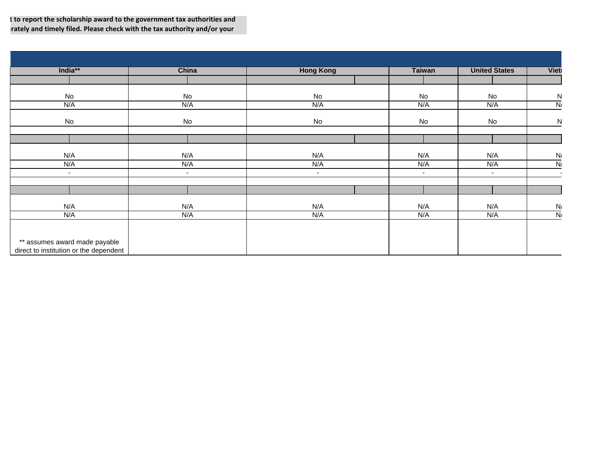t to report the scholarship award to the government tax authorities and rately and timely filed. Please check with the tax authority and/or your

| India**                                | China  | <b>Hong Kong</b> | <b>Taiwan</b> | <b>United States</b> | <b>Viet</b>    |
|----------------------------------------|--------|------------------|---------------|----------------------|----------------|
|                                        |        |                  |               |                      |                |
| No                                     | No     | No               | No            | No                   | N              |
| N/A                                    | N/A    | N/A              | N/A           | N/A                  | N              |
| No                                     | No     | No               | No            | No                   | ${\sf N}$      |
|                                        |        |                  |               |                      |                |
| N/A                                    | N/A    | N/A              | N/A           | N/A                  | N/             |
| N/A                                    | N/A    | N/A              | N/A           | N/A                  | N              |
| $\blacksquare$                         | $\sim$ | $\sim$           | $\sim$        | $\sim$               |                |
|                                        |        |                  |               |                      |                |
| N/A                                    | N/A    | N/A              | N/A           | N/A                  | N              |
| N/A                                    | N/A    | N/A              | N/A           | N/A                  | $\overline{N}$ |
|                                        |        |                  |               |                      |                |
| ** assumes award made payable          |        |                  |               |                      |                |
| direct to institution or the dependent |        |                  |               |                      |                |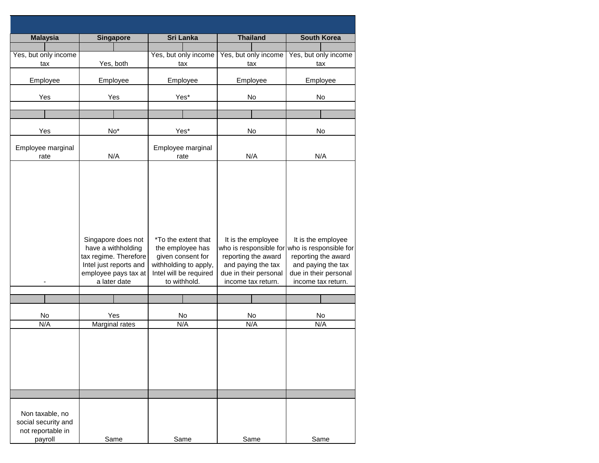| <b>Malaysia</b>                                                        | <b>Singapore</b>                                                                                                                    | <b>Sri Lanka</b>                                                                                                                | <b>Thailand</b>                                                                                                                          | <b>South Korea</b>                                                                                                                       |  |
|------------------------------------------------------------------------|-------------------------------------------------------------------------------------------------------------------------------------|---------------------------------------------------------------------------------------------------------------------------------|------------------------------------------------------------------------------------------------------------------------------------------|------------------------------------------------------------------------------------------------------------------------------------------|--|
| Yes, but only income<br>tax                                            | Yes, both                                                                                                                           | Yes, but only income<br>tax                                                                                                     | Yes, but only income<br>tax                                                                                                              | Yes, but only income<br>tax                                                                                                              |  |
| Employee                                                               | Employee                                                                                                                            | Employee                                                                                                                        | Employee                                                                                                                                 | Employee                                                                                                                                 |  |
| Yes                                                                    | Yes                                                                                                                                 | Yes*                                                                                                                            | No                                                                                                                                       | No                                                                                                                                       |  |
|                                                                        |                                                                                                                                     |                                                                                                                                 |                                                                                                                                          |                                                                                                                                          |  |
| Yes                                                                    | $No*$                                                                                                                               | Yes*                                                                                                                            | No                                                                                                                                       | No                                                                                                                                       |  |
| Employee marginal<br>rate                                              | N/A                                                                                                                                 | Employee marginal<br>rate                                                                                                       | N/A                                                                                                                                      | N/A                                                                                                                                      |  |
|                                                                        | Singapore does not<br>have a withholding<br>tax regime. Therefore<br>Intel just reports and<br>employee pays tax at<br>a later date | *To the extent that<br>the employee has<br>given consent for<br>withholding to apply,<br>Intel will be required<br>to withhold. | It is the employee<br>who is responsible for<br>reporting the award<br>and paying the tax<br>due in their personal<br>income tax return. | It is the employee<br>who is responsible for<br>reporting the award<br>and paying the tax<br>due in their personal<br>income tax return. |  |
|                                                                        |                                                                                                                                     |                                                                                                                                 |                                                                                                                                          |                                                                                                                                          |  |
| No                                                                     | Yes                                                                                                                                 | No                                                                                                                              | No                                                                                                                                       | No                                                                                                                                       |  |
| N/A                                                                    | Marginal rates                                                                                                                      | N/A                                                                                                                             | N/A                                                                                                                                      | N/A                                                                                                                                      |  |
| Non taxable, no<br>social security and<br>not reportable in<br>payroll | Same                                                                                                                                | Same                                                                                                                            | Same                                                                                                                                     | Same                                                                                                                                     |  |